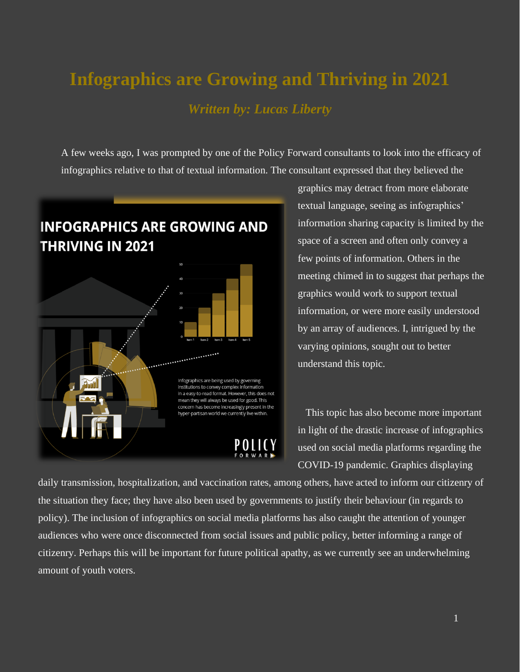## **Infographics are Growing and Thriving in 2021** *Written by: Lucas Liberty*

A few weeks ago, I was prompted by one of the Policy Forward consultants to look into the efficacy of infographics relative to that of textual information. The consultant expressed that they believed the

## **INFOGRAPHICS ARE GROWING AND THRIVING IN 2021**



graphics may detract from more elaborate textual language, seeing as infographics' information sharing capacity is limited by the space of a screen and often only convey a few points of information. Others in the meeting chimed in to suggest that perhaps the graphics would work to support textual information, or were more easily understood by an array of audiences. I, intrigued by the varying opinions, sought out to better understand this topic.

This topic has also become more important in light of the drastic increase of infographics used on social media platforms regarding the COVID-19 pandemic. Graphics displaying

daily transmission, hospitalization, and vaccination rates, among others, have acted to inform our citizenry of the situation they face; they have also been used by governments to justify their behaviour (in regards to policy). The inclusion of infographics on social media platforms has also caught the attention of younger audiences who were once disconnected from social issues and public policy, better informing a range of citizenry. Perhaps this will be important for future political apathy, as we currently see an underwhelming amount of youth voters.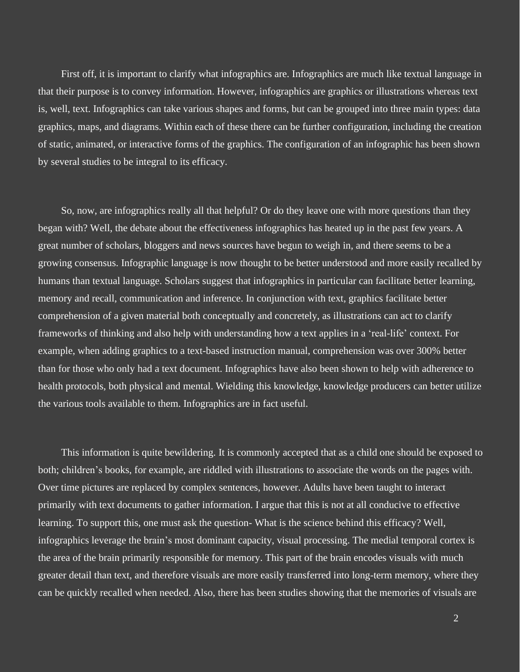First off, it is important to clarify what infographics are. Infographics are much like textual language in that their purpose is to convey information. However, infographics are graphics or illustrations whereas text is, well, text. Infographics can take various shapes and forms, but can be grouped into three main types: data graphics, maps, and diagrams. Within each of these there can be further configuration, including the creation of static, animated, or interactive forms of the graphics. The configuration of an infographic has been shown by several studies to be integral to its efficacy.

So, now, are infographics really all that helpful? Or do they leave one with more questions than they began with? Well, the debate about the effectiveness infographics has heated up in the past few years. A great number of scholars, bloggers and news sources have begun to weigh in, and there seems to be a growing consensus. Infographic language is now thought to be better understood and more easily recalled by humans than textual language. Scholars suggest that infographics in particular can facilitate better learning, memory and recall, communication and inference. In conjunction with text, graphics facilitate better comprehension of a given material both conceptually and concretely, as illustrations can act to clarify frameworks of thinking and also help with understanding how a text applies in a 'real-life' context. For example, when adding graphics to a text-based instruction manual, comprehension was over 300% better than for those who only had a text document. Infographics have also been shown to help with adherence to health protocols, both physical and mental. Wielding this knowledge, knowledge producers can better utilize the various tools available to them. Infographics are in fact useful.

This information is quite bewildering. It is commonly accepted that as a child one should be exposed to both; children's books, for example, are riddled with illustrations to associate the words on the pages with. Over time pictures are replaced by complex sentences, however. Adults have been taught to interact primarily with text documents to gather information. I argue that this is not at all conducive to effective learning. To support this, one must ask the question- What is the science behind this efficacy? Well, infographics leverage the brain's most dominant capacity, visual processing. The medial temporal cortex is the area of the brain primarily responsible for memory. This part of the brain encodes visuals with much greater detail than text, and therefore visuals are more easily transferred into long-term memory, where they can be quickly recalled when needed. Also, there has been studies showing that the memories of visuals are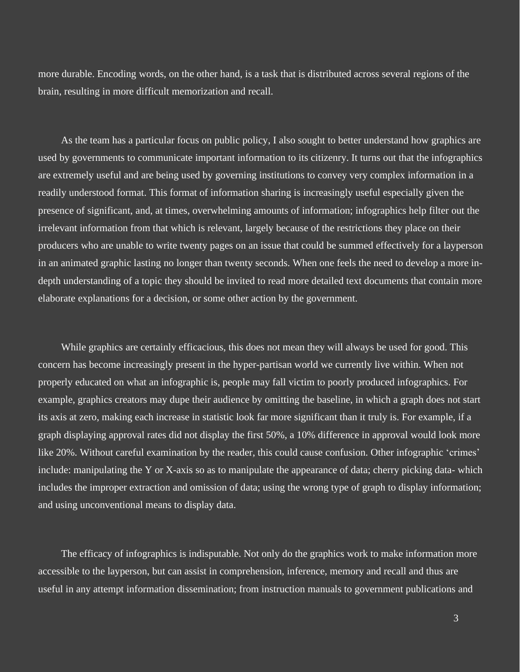more durable. Encoding words, on the other hand, is a task that is distributed across several regions of the brain, resulting in more difficult memorization and recall.

As the team has a particular focus on public policy, I also sought to better understand how graphics are used by governments to communicate important information to its citizenry. It turns out that the infographics are extremely useful and are being used by governing institutions to convey very complex information in a readily understood format. This format of information sharing is increasingly useful especially given the presence of significant, and, at times, overwhelming amounts of information; infographics help filter out the irrelevant information from that which is relevant, largely because of the restrictions they place on their producers who are unable to write twenty pages on an issue that could be summed effectively for a layperson in an animated graphic lasting no longer than twenty seconds. When one feels the need to develop a more indepth understanding of a topic they should be invited to read more detailed text documents that contain more elaborate explanations for a decision, or some other action by the government.

While graphics are certainly efficacious, this does not mean they will always be used for good. This concern has become increasingly present in the hyper-partisan world we currently live within. When not properly educated on what an infographic is, people may fall victim to poorly produced infographics. For example, graphics creators may dupe their audience by omitting the baseline, in which a graph does not start its axis at zero, making each increase in statistic look far more significant than it truly is. For example, if a graph displaying approval rates did not display the first 50%, a 10% difference in approval would look more like 20%. Without careful examination by the reader, this could cause confusion. Other infographic 'crimes' include: manipulating the Y or X-axis so as to manipulate the appearance of data; cherry picking data- which includes the improper extraction and omission of data; using the wrong type of graph to display information; and using unconventional means to display data.

The efficacy of infographics is indisputable. Not only do the graphics work to make information more accessible to the layperson, but can assist in comprehension, inference, memory and recall and thus are useful in any attempt information dissemination; from instruction manuals to government publications and